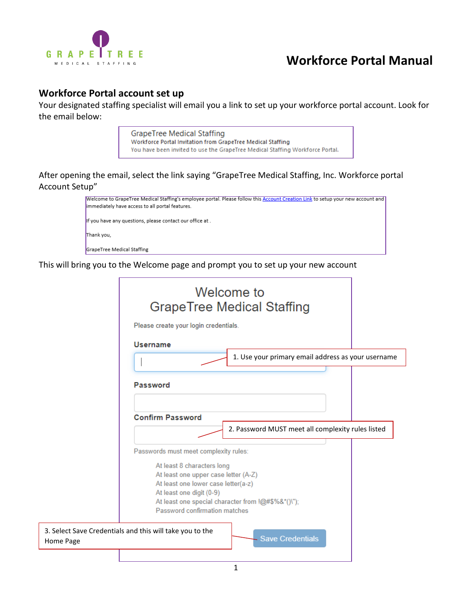

#### **Workforce Portal account set up**

Your designated staffing specialist will email you a link to set up your workforce portal account. Look for the email below:

> **GrapeTree Medical Staffing** Workforce Portal Invitation from GrapeTree Medical Staffing You have been invited to use the GrapeTree Medical Staffing Workforce Portal.

After opening the email, select the link saying "GrapeTree Medical Staffing, Inc. Workforce portal Account Setup"



This will bring you to the Welcome page and prompt you to set up your new account

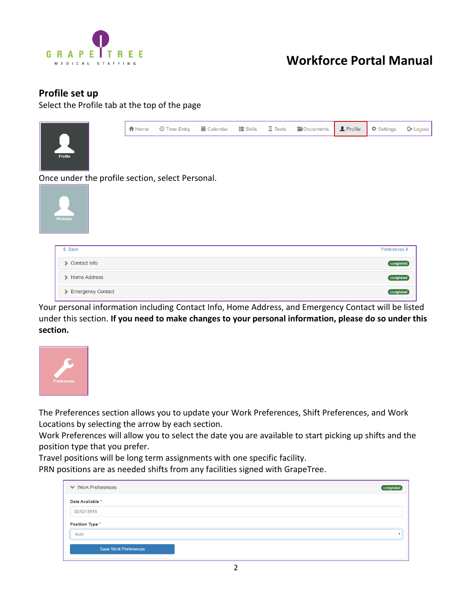

#### **Profile set up**

Select the Profile tab at the top of the page



 $\mathbb{C}$  Logout  $\biguparrow$  Home  $\equiv$  Skills  $\Sigma$  Tests Documents Profile  $≢$  Settings © Time Entry **■ Calendar** 

Once under the profile section, select Personal.



| <b>&lt; Back</b>               | Preferences > |
|--------------------------------|---------------|
| <b>Contact Info</b>            | completed     |
| <b>Home Address</b>            | completed     |
| <b>Emergency Contact</b><br>⋗. | completed     |

Your personal information including Contact Info, Home Address, and Emergency Contact will be listed under this section. **If you need to make changes to your personal information, please do so under this section.**



The Preferences section allows you to update your Work Preferences, Shift Preferences, and Work Locations by selecting the arrow by each section.

Work Preferences will allow you to select the date you are available to start picking up shifts and the position type that you prefer.

Travel positions will be long term assignments with one specific facility.

PRN positions are as needed shifts from any facilities signed with GrapeTree.

| <b>◆ Work Preferences</b>    | <b>completed</b> |
|------------------------------|------------------|
| Date Available *             |                  |
| 02/02/2018                   |                  |
| Position Type *              |                  |
| <b>Both</b>                  |                  |
| <b>Save Work Preferences</b> |                  |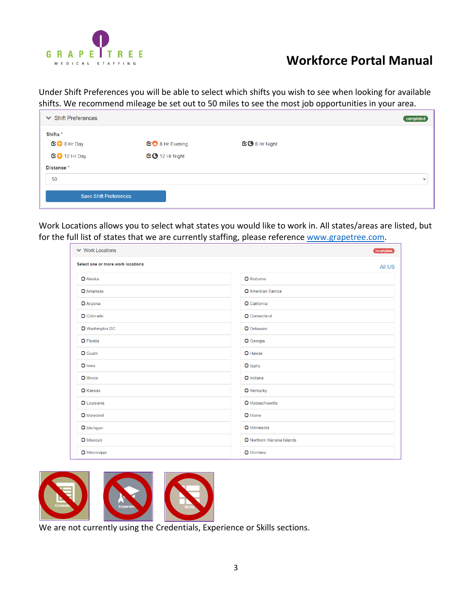

Under Shift Preferences you will be able to select which shifts you wish to see when looking for available shifts. We recommend mileage be set out to 50 miles to see the most job opportunities in your area.

| $\blacktriangleright$ Shift Preferences |                                     |                      | completed    |
|-----------------------------------------|-------------------------------------|----------------------|--------------|
| Shifts <sup>*</sup>                     |                                     |                      |              |
| <b>ご●8Hr Day</b>                        | $\boxtimes$ $\bigcirc$ 8 Hr Evening | <b>区●</b> 8 Hr Night |              |
| $\mathbb{C}$ 3 12 Hr Day                | <b>ØO</b> 12 Hr Night               |                      |              |
| Distance*                               |                                     |                      |              |
| 50                                      |                                     |                      | $\checkmark$ |
| <b>Save Shift Preferences</b>           |                                     |                      |              |

Work Locations allows you to select what states you would like to work in. All states/areas are listed, but for the full list of states that we are currently staffing, please reference [www.grapetree.com.](http://www.grapetree.com/)

| <b>↓ Work Locations</b>           | incomplete                 |
|-----------------------------------|----------------------------|
| Select one or more work locations | <b>All US</b>              |
| $Q$ Alaska                        | <b>O</b> Alabama           |
| <b>Q</b> Arkansas                 | <b>O</b> American Samoa    |
| O Arizona                         | O California               |
| O Colorado                        | O Connecticut              |
| O Washington DC                   | O Delaware                 |
| <b>O</b> Florida                  | O Georgia                  |
| O Guam                            | <b>O</b> Hawaii            |
| $\Box$ lowa                       | O Idaho                    |
| $\Box$ Illinois                   | $\Box$ Indiana             |
| <b>O</b> Kansas                   | <b>O</b> Kentucky          |
| <b>O</b> Louisiana                | O Massachusetts            |
| O Maryland                        | <b>O</b> Maine             |
| O Michigan                        | <b>O</b> Minnesota         |
| O Missouri                        | O Northern Mariana Islands |
| O Mississippi                     | O Montana                  |



We are not currently using the Credentials, Experience or Skills sections.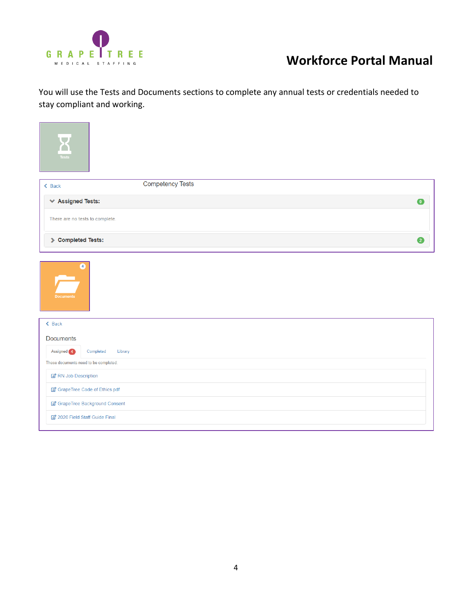

You will use the Tests and Documents sections to complete any annual tests or credentials needed to stay compliant and working.

| $\overline{\bf Z}$<br><b>Tests</b>          |           |
|---------------------------------------------|-----------|
| <b>Competency Tests</b><br>$\triangle$ Back |           |
| $\blacktriangleright$ Assigned Tests:       | $\bullet$ |
| There are no tests to complete.             |           |
| Completed Tests:                            | $\bullet$ |
| $\bullet$<br><b>Documents</b>               |           |
| $\triangle$ Back                            |           |
| <b>Documents</b>                            |           |
| Assigned 4<br>Completed<br>Library          |           |
| These documents need to be completed:       |           |
| RN Job Description                          |           |
| GrapeTree Code of Ethics.pdf                |           |
| GrapeTree Background Consent                |           |
| 2 2020 Field Staff Guide Final              |           |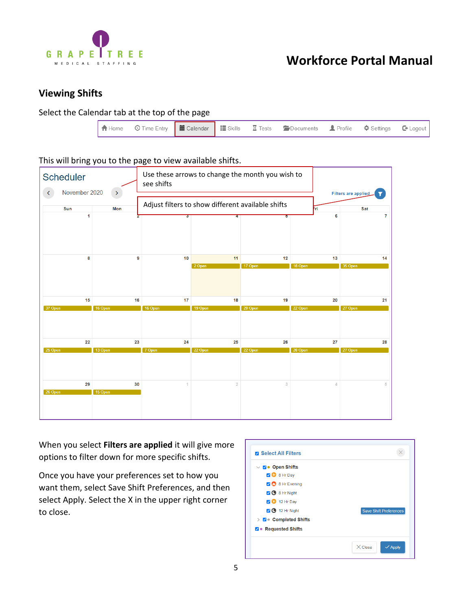

#### **Viewing Shifts**

Select the Calendar tab at the top of the page

|  | A Home © Time Entry   ■ Calendar   ■ Skills E Tests ■ Documents LProfile © Settings   E Logout |  |  |  |  |  |  |  |
|--|------------------------------------------------------------------------------------------------|--|--|--|--|--|--|--|
|--|------------------------------------------------------------------------------------------------|--|--|--|--|--|--|--|

#### This will bring you to the page to view available shifts.

| Scheduler<br>November 2020<br>$\left\langle \right\rangle$ | $\sum_{i=1}^{n}$ | see shifts |                                                   | Use these arrows to change the month you wish to |             | <b>Filters are applied</b> |
|------------------------------------------------------------|------------------|------------|---------------------------------------------------|--------------------------------------------------|-------------|----------------------------|
| Sun                                                        | Mon              |            | Adjust filters to show different available shifts |                                                  | Fri         | Sat                        |
| 1                                                          |                  |            |                                                   |                                                  | 6           | $\overline{7}$             |
| 8                                                          | 9                | 10         | 11                                                | 12                                               | 13          | 14                         |
|                                                            |                  |            | 2 Open                                            | 17 Open                                          | 18 Open     | 35 Open                    |
| 15                                                         | 16               | 17         | 18                                                | 19                                               | 20          | 21                         |
| 37 Open                                                    | 16 Open          | 16 Open    | 19 Open                                           | 20 Open                                          | 22 Open     | 27 Open                    |
| 22                                                         | 23               | 24         | 25                                                | 26                                               | 27          | 28                         |
| 25 Open                                                    | 13 Open          | 7 Open     | 22 Open                                           | 22 Open                                          | 20 Open     | 27 Open                    |
| 29<br>26 Open                                              | 30<br>15 Open    |            | $\overline{2}$                                    | $\sqrt{3}$                                       | $\triangle$ | 5                          |

When you select **Filters are applied** it will give more options to filter down for more specific shifts.

Once you have your preferences set to how you want them, select Save Shift Preferences, and then select Apply. Select the X in the upper right corner to close.

| $\vee$ V • Open Shifts                                          |                               |
|-----------------------------------------------------------------|-------------------------------|
| <b>2 &amp; 8 Hr Day</b>                                         |                               |
| <b>2 C</b> 8 Hr Evening                                         |                               |
| <b>O</b> 8 Hr Night                                             |                               |
| 2 3 12 Hr Day                                                   |                               |
| O 12 Hr Night                                                   | <b>Save Shift Preferences</b> |
| $\triangleright$ $\blacksquare$ $\blacksquare$ Completed Shifts |                               |
| <b>Z</b> • Requested Shifts                                     |                               |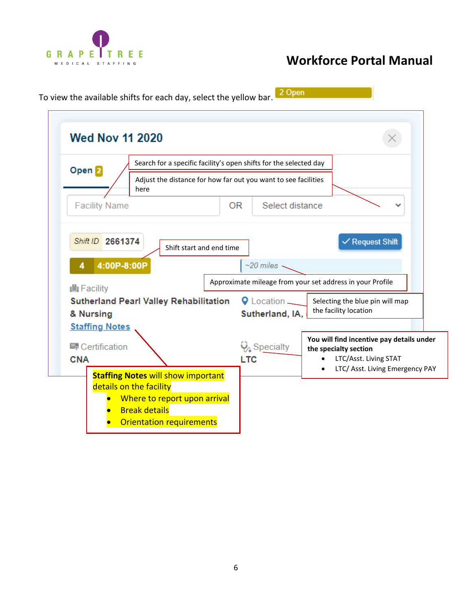



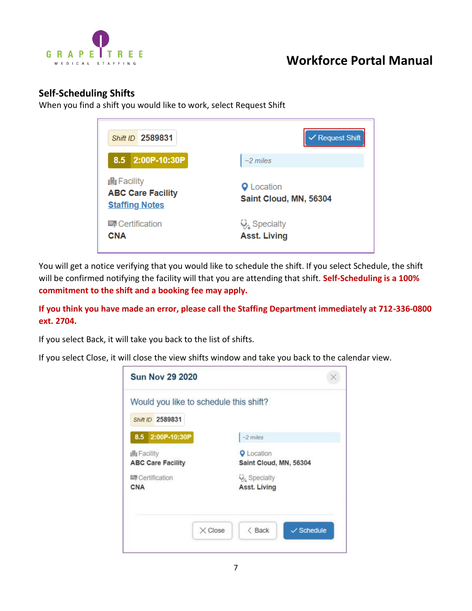

#### **Self-Scheduling Shifts**

When you find a shift you would like to work, select Request Shift

| Shift ID 2589831                                                       | $\vee$ Request Shift                           |
|------------------------------------------------------------------------|------------------------------------------------|
| 8.5 2:00P-10:30P                                                       | $~2$ miles                                     |
| <b>A</b> Facility<br><b>ABC Care Facility</b><br><b>Staffing Notes</b> | <b>Q</b> Location<br>Saint Cloud, MN, 56304    |
| <b>国</b> Certification<br><b>CNA</b>                                   | $Q_{\lambda}$ Specialty<br><b>Asst. Living</b> |

You will get a notice verifying that you would like to schedule the shift. If you select Schedule, the shift will be confirmed notifying the facility will that you are attending that shift. **Self-Scheduling is a 100% commitment to the shift and a booking fee may apply.** 

**If you think you have made an error, please call the Staffing Department immediately at 712-336-0800 ext. 2704.**

If you select Back, it will take you back to the list of shifts.

If you select Close, it will close the view shifts window and take you back to the calendar view.

| Shift ID 2589831<br>8.5 2:00P-10:30P | $-2$ miles                     |
|--------------------------------------|--------------------------------|
| <b>曲 Facility</b>                    | <b>Q</b> Location              |
| <b>ABC Care Facility</b>             | Saint Cloud, MN, 56304         |
| D. Certification                     | <b>Q<sub>2</sub></b> Specialty |
| CNA                                  | Asst. Living                   |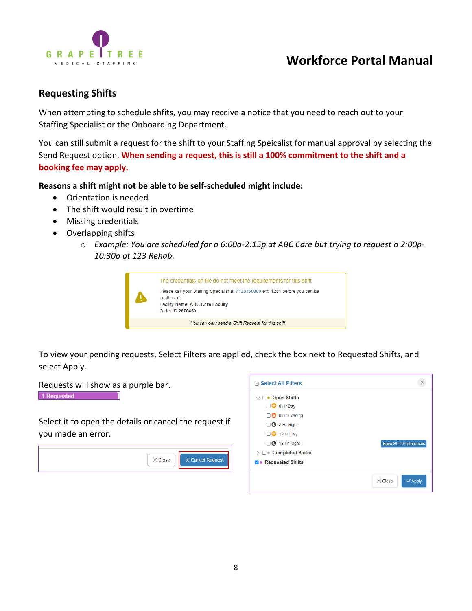

#### **Requesting Shifts**

When attempting to schedule shfits, you may receive a notice that you need to reach out to your Staffing Specialist or the Onboarding Department.

You can still submit a request for the shift to your Staffing Speicalist for manual approval by selecting the Send Request option. **When sending a request, this is still a 100% commitment to the shift and a booking fee may apply.** 

#### **Reasons a shift might not be able to be self-scheduled might include:**

- Orientation is needed
- The shift would result in overtime
- Missing credentials
- Overlapping shifts
	- o *Example: You are scheduled for a 6:00a-2:15p at ABC Care but trying to request a 2:00p-10:30p at 123 Rehab.*



To view your pending requests, Select Filters are applied, check the box next to Requested Shifts, and select Apply.

Requests will show as a purple bar. 1 Requested

Select it to open the details or cancel the request if you made an error.



| <b>⊟ Select All Filters</b>              |                                      |
|------------------------------------------|--------------------------------------|
| $\vee \Box \bullet$ Open Shifts          |                                      |
| $\Box$ 8 Hr Day                          |                                      |
| <b>B</b> 8 Hr Evening                    |                                      |
| O 8 Hr Night                             |                                      |
| $\Box$ 12 Hr Day                         |                                      |
| $\Box$ 3 12 Hr Night                     | <b>Save Shift Preferences</b>        |
| $\triangleright$ $\Box$ Completed Shifts |                                      |
| <b>Z</b> • Requested Shifts              |                                      |
|                                          | $\times$ Close<br>$\checkmark$ Apply |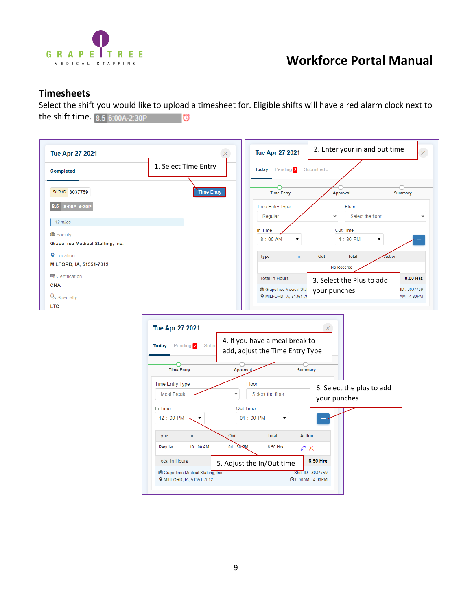

#### **Timesheets**

Select the shift you would like to upload a timesheet for. Eligible shifts will have a red alarm clock next to the shift time. 8.5 6:00A-2:30P 'ర

| <b>Tue Apr 27 2021</b>                                  | $\times$             | <b>Tue Apr 27 2021</b>                                   | 2. Enter your in and out time<br>$\times$                           |
|---------------------------------------------------------|----------------------|----------------------------------------------------------|---------------------------------------------------------------------|
| Completed                                               | 1. Select Time Entry | Pending 2<br>Today                                       | Submitted _                                                         |
| Shift ID 3037759                                        | Time Entry           | <b>Time Entry</b>                                        | Approval<br><b>Summary</b>                                          |
| 8:00A-4:30P<br>8.5                                      |                      | <b>Time Entry Type</b>                                   | Floor                                                               |
| $~12$ miles                                             |                      | Regular                                                  | Select the floor<br>$\checkmark$<br>$\checkmark$                    |
| <b>All</b> Facility<br>GrapeTree Medical Staffing, Inc. |                      | In Time<br>8:00 AM<br>$\overline{\phantom{a}}$           | Out Time<br>4:30 PM<br>۰.                                           |
| <b>Q</b> Location                                       |                      | In<br><b>Type</b>                                        | Action<br>Out<br><b>Total</b>                                       |
| MILFORD, IA, 51351-7012                                 |                      |                                                          | No Records                                                          |
| <b>E</b> Certification<br><b>CNA</b>                    |                      | <b>Total In Hours</b><br><b>图 GrapeTree Medical Star</b> | 0.00 Hrs<br>3. Select the Plus to add<br>D: 3037759<br>your punches |
| <b>V</b> . Specialty                                    |                      | <b>Q</b> MILFORD, IA, 51351-7                            | <b>MM - 4:30PM</b>                                                  |
| <b>LTC</b>                                              |                      |                                                          |                                                                     |

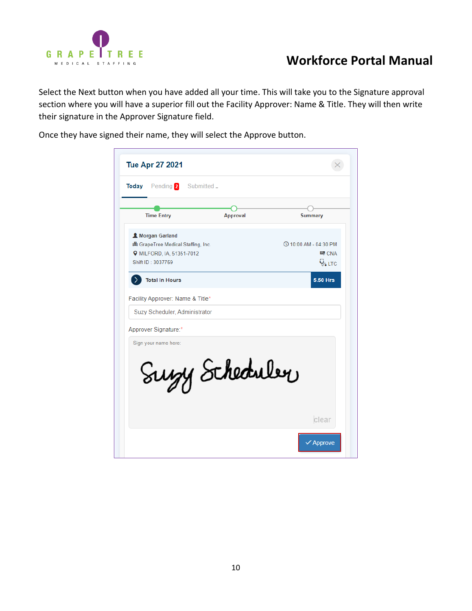

Select the Next button when you have added all your time. This will take you to the Signature approval section where you will have a superior fill out the Facility Approver: Name & Title. They will then write their signature in the Approver Signature field.

Once they have signed their name, they will select the Approve button.

| Today Pending 2 Submitted _                           |                              |
|-------------------------------------------------------|------------------------------|
| <b>Time Entry</b>                                     | Approval<br><b>Summary</b>   |
| Morgan Garland                                        |                              |
| ■ GrapeTree Medical Staffing, Inc.                    | <b>◯ 10:00 AM - 04:30 PM</b> |
| <b>Q</b> MILFORD, IA, 51351-7012                      | <b>■ CNA</b>                 |
| Shift ID: 3037759                                     | $Q_{\rm a LTC}$              |
| <b>Total In Hours</b>                                 | 5.50 Hrs                     |
| Suzy Scheduler, Administrator<br>Approver Signature:* |                              |
| Sign your name here:                                  |                              |
| Suzy Scheduler                                        |                              |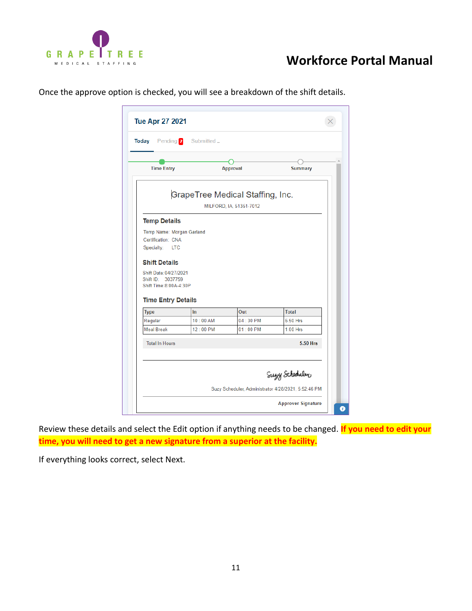

| <b>Time Entry</b>                                                                                                                                                                |                      | Approval                                                    | <b>Summary</b>       |
|----------------------------------------------------------------------------------------------------------------------------------------------------------------------------------|----------------------|-------------------------------------------------------------|----------------------|
|                                                                                                                                                                                  |                      | GrapeTree Medical Staffing, Inc.<br>MILFORD, IA, 51351-7012 |                      |
| <b>Temp Details</b>                                                                                                                                                              |                      |                                                             |                      |
| Temp Name: Morgan Garland<br>Certification: CNA<br>Specialty:<br><b>LTC</b><br><b>Shift Details</b><br>Shift Date: 04/27/2021<br>Shift ID:<br>3037759<br>Shift Time: 8:00A-4:30P |                      |                                                             |                      |
| <b>Time Entry Details</b><br><b>Type</b>                                                                                                                                         | In                   | Out                                                         | <b>Total</b>         |
| Regular<br>Meal Break                                                                                                                                                            | 10:00 AM<br>12:00 PM | 04:30 PM<br>$01:00$ PM                                      | 6.50 Hrs<br>1.00 Hrs |

Once the approve option is checked, you will see a breakdown of the shift details.

Review these details and select the Edit option if anything needs to be changed. **If you need to edit your time, you will need to get a new signature from a superior at the facility.**

If everything looks correct, select Next.